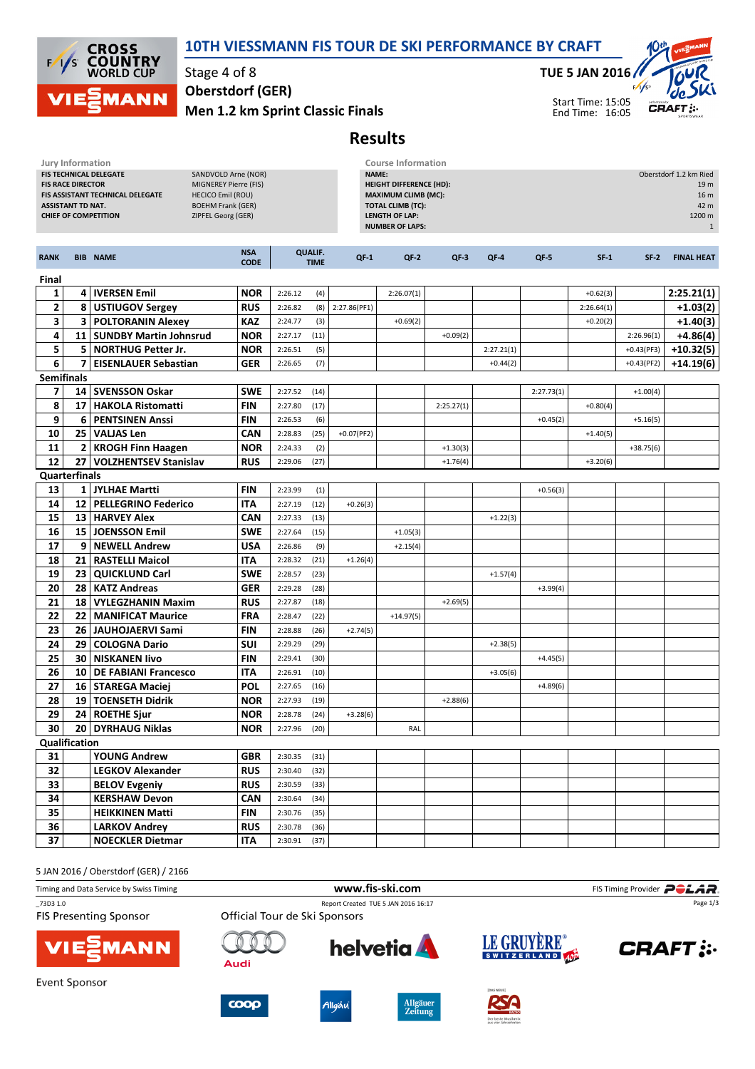

## 10TH VIESSMANN FIS TOUR DE SKI PERFORMANCE BY CRAFT

Stage 4 of 8 Oberstdorf (GER)

Men 1.2 km Sprint Classic Finals

## TUE 5 JAN 2016



## Results

|                                                                                                                                                                                                                                                                                 | Jury Information<br><b>Course Information</b> |                             |                           |                                                                                                                                                      |                               |              |             |                                                                                     |            |            |            |              |                   |
|---------------------------------------------------------------------------------------------------------------------------------------------------------------------------------------------------------------------------------------------------------------------------------|-----------------------------------------------|-----------------------------|---------------------------|------------------------------------------------------------------------------------------------------------------------------------------------------|-------------------------------|--------------|-------------|-------------------------------------------------------------------------------------|------------|------------|------------|--------------|-------------------|
| FIS TECHNICAL DELEGATE<br>SANDVOLD Arne (NOR)<br><b>FIS RACE DIRECTOR</b><br>MIGNEREY Pierre (FIS)<br>FIS ASSISTANT TECHNICAL DELEGATE<br><b>HECICO Emil (ROU)</b><br><b>ASSISTANT TD NAT.</b><br><b>BOEHM Frank (GER)</b><br>ZIPFEL Georg (GER)<br><b>CHIEF OF COMPETITION</b> |                                               |                             |                           | NAME:<br><b>HEIGHT DIFFERENCE (HD):</b><br><b>MAXIMUM CLIMB (MC):</b><br><b>TOTAL CLIMB (TC):</b><br><b>LENGTH OF LAP:</b><br><b>NUMBER OF LAPS:</b> |                               |              |             | Oberstdorf 1.2 km Ried<br>19 <sub>m</sub><br>16 m<br>42 m<br>1200 m<br>$\mathbf{1}$ |            |            |            |              |                   |
| <b>RANK</b>                                                                                                                                                                                                                                                                     |                                               | <b>BIB NAME</b>             | <b>NSA</b><br><b>CODE</b> |                                                                                                                                                      | <b>QUALIF.</b><br><b>TIME</b> | $QF-1$       | $QF-2$      | $QF-3$                                                                              | $QF-4$     | QF-5       | $SF-1$     | $SF-2$       | <b>FINAL HEAT</b> |
| Final                                                                                                                                                                                                                                                                           |                                               |                             |                           |                                                                                                                                                      |                               |              |             |                                                                                     |            |            |            |              |                   |
| 1                                                                                                                                                                                                                                                                               |                                               | 4   IVERSEN Emil            | <b>NOR</b>                | 2:26.12                                                                                                                                              | (4)                           |              | 2:26.07(1)  |                                                                                     |            |            | $+0.62(3)$ |              | 2:25.21(1)        |
| $\overline{\mathbf{2}}$                                                                                                                                                                                                                                                         | 8                                             | <b>USTIUGOV Sergey</b>      | <b>RUS</b>                | 2:26.82                                                                                                                                              | (8)                           | 2:27.86(PF1) |             |                                                                                     |            |            | 2:26.64(1) |              | $+1.03(2)$        |
| 3                                                                                                                                                                                                                                                                               |                                               | <b>3 POLTORANIN Alexey</b>  | <b>KAZ</b>                | 2:24.77                                                                                                                                              | (3)                           |              | $+0.69(2)$  |                                                                                     |            |            | $+0.20(2)$ |              | $+1.40(3)$        |
| 4                                                                                                                                                                                                                                                                               |                                               | 11   SUNDBY Martin Johnsrud | <b>NOR</b>                | 2:27.17                                                                                                                                              | (11)                          |              |             | $+0.09(2)$                                                                          |            |            |            | 2:26.96(1)   | $+4.86(4)$        |
| 5                                                                                                                                                                                                                                                                               |                                               | 5 NORTHUG Petter Jr.        | <b>NOR</b>                | 2:26.51                                                                                                                                              | (5)                           |              |             |                                                                                     | 2:27.21(1) |            |            | $+0.43(PF3)$ | $+10.32(5)$       |
| 6                                                                                                                                                                                                                                                                               | $\overline{7}$                                | <b>EISENLAUER Sebastian</b> | <b>GER</b>                | 2:26.65                                                                                                                                              | (7)                           |              |             |                                                                                     | $+0.44(2)$ |            |            | $+0.43(PF2)$ | $+14.19(6)$       |
| <b>Semifinals</b>                                                                                                                                                                                                                                                               |                                               |                             |                           |                                                                                                                                                      |                               |              |             |                                                                                     |            |            |            |              |                   |
| 7                                                                                                                                                                                                                                                                               |                                               | 14   SVENSSON Oskar         | <b>SWE</b>                | 2:27.52                                                                                                                                              | (14)                          |              |             |                                                                                     |            | 2:27.73(1) |            | $+1.00(4)$   |                   |
| 8                                                                                                                                                                                                                                                                               | 17                                            | <b>HAKOLA Ristomatti</b>    | <b>FIN</b>                | 2:27.80                                                                                                                                              | (17)                          |              |             | 2:25.27(1)                                                                          |            |            | $+0.80(4)$ |              |                   |
| 9                                                                                                                                                                                                                                                                               | 6                                             | <b>PENTSINEN Anssi</b>      | <b>FIN</b>                | 2:26.53                                                                                                                                              | (6)                           |              |             |                                                                                     |            | $+0.45(2)$ |            | $+5.16(5)$   |                   |
| 10                                                                                                                                                                                                                                                                              | 25                                            | ∣ VALJAS Len                | <b>CAN</b>                | 2:28.83                                                                                                                                              | (25)                          | $+0.07(PF2)$ |             |                                                                                     |            |            | $+1.40(5)$ |              |                   |
| 11                                                                                                                                                                                                                                                                              |                                               | 2 KROGH Finn Haagen         | <b>NOR</b>                | 2:24.33                                                                                                                                              | (2)                           |              |             | $+1.30(3)$                                                                          |            |            |            | $+38.75(6)$  |                   |
| 12                                                                                                                                                                                                                                                                              |                                               | 27   VOLZHENTSEV Stanislav  | <b>RUS</b>                | 2:29.06                                                                                                                                              | (27)                          |              |             | $+1.76(4)$                                                                          |            |            | $+3.20(6)$ |              |                   |
|                                                                                                                                                                                                                                                                                 | <b>Quarterfinals</b>                          |                             |                           |                                                                                                                                                      |                               |              |             |                                                                                     |            |            |            |              |                   |
| 13                                                                                                                                                                                                                                                                              |                                               | 1   JYLHAE Martti           | <b>FIN</b>                | 2:23.99                                                                                                                                              | (1)                           |              |             |                                                                                     |            | $+0.56(3)$ |            |              |                   |
| 14                                                                                                                                                                                                                                                                              |                                               | 12   PELLEGRINO Federico    | ITA                       | 2:27.19                                                                                                                                              | (12)                          | $+0.26(3)$   |             |                                                                                     |            |            |            |              |                   |
| 15                                                                                                                                                                                                                                                                              |                                               | 13 HARVEY Alex              | <b>CAN</b>                | 2:27.33                                                                                                                                              | (13)                          |              |             |                                                                                     | $+1.22(3)$ |            |            |              |                   |
| 16                                                                                                                                                                                                                                                                              |                                               | 15   JOENSSON Emil          | <b>SWE</b>                | 2:27.64                                                                                                                                              | (15)                          |              | $+1.05(3)$  |                                                                                     |            |            |            |              |                   |
| 17                                                                                                                                                                                                                                                                              |                                               | 9 NEWELL Andrew             | <b>USA</b>                | 2:26.86                                                                                                                                              | (9)                           |              | $+2.15(4)$  |                                                                                     |            |            |            |              |                   |
| 18                                                                                                                                                                                                                                                                              |                                               | 21   RASTELLI Maicol        | <b>ITA</b>                | 2:28.32                                                                                                                                              | (21)                          | $+1.26(4)$   |             |                                                                                     |            |            |            |              |                   |
| 19                                                                                                                                                                                                                                                                              |                                               | 23   QUICKLUND Carl         | <b>SWE</b>                | 2:28.57                                                                                                                                              | (23)                          |              |             |                                                                                     | $+1.57(4)$ |            |            |              |                   |
| 20                                                                                                                                                                                                                                                                              | 28                                            | <b>KATZ Andreas</b>         | <b>GER</b>                | 2:29.28                                                                                                                                              | (28)                          |              |             |                                                                                     |            | $+3.99(4)$ |            |              |                   |
| 21                                                                                                                                                                                                                                                                              | 18                                            | <b>VYLEGZHANIN Maxim</b>    | <b>RUS</b>                | 2:27.87                                                                                                                                              | (18)                          |              |             | $+2.69(5)$                                                                          |            |            |            |              |                   |
| 22                                                                                                                                                                                                                                                                              |                                               | 22   MANIFICAT Maurice      | <b>FRA</b>                | 2:28.47                                                                                                                                              | (22)                          |              | $+14.97(5)$ |                                                                                     |            |            |            |              |                   |
| 23                                                                                                                                                                                                                                                                              |                                               | 26   JAUHOJAERVI Sami       | <b>FIN</b>                | 2:28.88                                                                                                                                              | (26)                          | $+2.74(5)$   |             |                                                                                     |            |            |            |              |                   |
| 24                                                                                                                                                                                                                                                                              |                                               | 29   COLOGNA Dario          | <b>SUI</b>                | 2:29.29                                                                                                                                              | (29)                          |              |             |                                                                                     | $+2.38(5)$ |            |            |              |                   |
| 25                                                                                                                                                                                                                                                                              |                                               | 30   NISKANEN livo          | <b>FIN</b>                | 2:29.41                                                                                                                                              | (30)                          |              |             |                                                                                     |            | $+4.45(5)$ |            |              |                   |
| 26                                                                                                                                                                                                                                                                              | 10                                            | DE FABIANI Francesco        | ITA                       | 2:26.91                                                                                                                                              | (10)                          |              |             |                                                                                     | $+3.05(6)$ |            |            |              |                   |
| 27                                                                                                                                                                                                                                                                              |                                               | 16   STAREGA Maciej         | <b>POL</b>                | 2:27.65                                                                                                                                              | (16)                          |              |             |                                                                                     |            | $+4.89(6)$ |            |              |                   |
| 28                                                                                                                                                                                                                                                                              |                                               | 19   TOENSETH Didrik        | <b>NOR</b>                | 2:27.93                                                                                                                                              | (19)                          |              |             | $+2.88(6)$                                                                          |            |            |            |              |                   |
| 29                                                                                                                                                                                                                                                                              |                                               | 24 ROETHE Sjur              | <b>NOR</b>                | 2:28.78                                                                                                                                              | (24)                          | $+3.28(6)$   |             |                                                                                     |            |            |            |              |                   |
|                                                                                                                                                                                                                                                                                 |                                               | 30 20 DYRHAUG Niklas        |                           | <b>NOR</b> 2:27.96 (20)                                                                                                                              |                               |              | RAL         |                                                                                     |            |            |            |              |                   |
|                                                                                                                                                                                                                                                                                 | Qualification                                 |                             |                           |                                                                                                                                                      |                               |              |             |                                                                                     |            |            |            |              |                   |
| 31                                                                                                                                                                                                                                                                              |                                               | <b>YOUNG Andrew</b>         | <b>GBR</b>                | $2:30.35$ (31)                                                                                                                                       |                               |              |             |                                                                                     |            |            |            |              |                   |
| 32                                                                                                                                                                                                                                                                              |                                               | <b>LEGKOV Alexander</b>     | <b>RUS</b>                | $2:30.40$ (32)                                                                                                                                       |                               |              |             |                                                                                     |            |            |            |              |                   |
| 33                                                                                                                                                                                                                                                                              |                                               | <b>BELOV Evgeniy</b>        | <b>RUS</b>                | $2:30.59$ (33)                                                                                                                                       |                               |              |             |                                                                                     |            |            |            |              |                   |
| 34                                                                                                                                                                                                                                                                              |                                               | <b>KERSHAW Devon</b>        | <b>CAN</b>                | 2:30.64                                                                                                                                              | (34)                          |              |             |                                                                                     |            |            |            |              |                   |
| 35                                                                                                                                                                                                                                                                              |                                               | <b>HEIKKINEN Matti</b>      | <b>FIN</b>                | $2:30.76$ (35)                                                                                                                                       |                               |              |             |                                                                                     |            |            |            |              |                   |
| 36                                                                                                                                                                                                                                                                              |                                               | <b>LARKOV Andrey</b>        | <b>RUS</b>                | $2:30.78$ (36)                                                                                                                                       |                               |              |             |                                                                                     |            |            |            |              |                   |
| 37                                                                                                                                                                                                                                                                              |                                               | <b>NOECKLER Dietmar</b>     | ITA                       | 2:30.91                                                                                                                                              | (37)                          |              |             |                                                                                     |            |            |            |              |                   |

5 JAN 2016 / Oberstdorf (GER) / 2166

| Timing and Data Service by Swiss Timing   |                               | FIS Timing Provider <b>POLAR</b> .          |                                                                              |               |
|-------------------------------------------|-------------------------------|---------------------------------------------|------------------------------------------------------------------------------|---------------|
| 73D3 1.0<br><b>FIS Presenting Sponsor</b> | Official Tour de Ski Sponsors | Page 1/3                                    |                                                                              |               |
| <b>VIE EMANN</b>                          | Audi                          | <b>helvetia</b>                             | LE GRUYERE®                                                                  | <b>CRAFT:</b> |
| Event Sponsor                             | $\bf{coop}$                   | <b>Allgäuer</b><br>Allgäu<br><b>Zeitung</b> | <b>IDAS NEUEI</b><br><b>PSA</b><br>Der heste Musikmi<br>aus vier Jahrzehnten |               |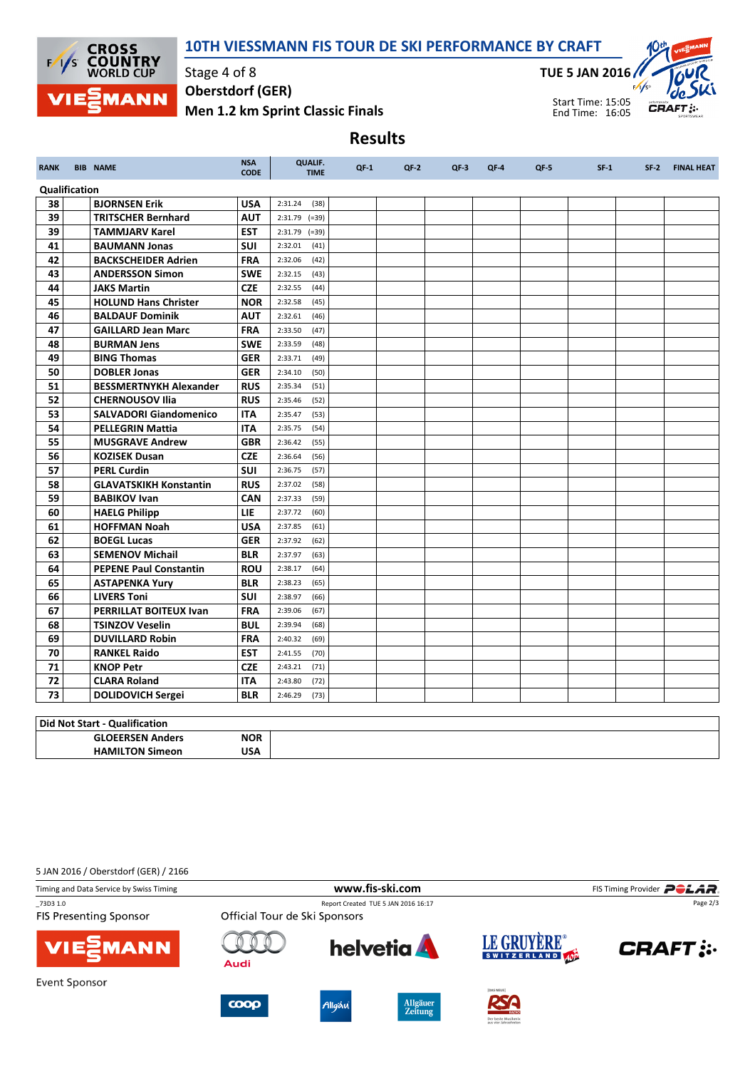

## 10TH VIESSMANN FIS TOUR DE SKI PERFORMANCE BY CRAFT

Results

Stage 4 of 8 Men 1.2 km Sprint Classic Finals Oberstdorf (GER)

TUE 5 JAN 2016



Start Time: 15:05 End Time: 16:05

RANK BIB NAME NAME NEWSALE **CODE** QUALIF. TIME QF-1 QF-2 QF-3 QF-4 QF-5 SF-1 SF-2 FINAL HEAT Qualification **38 BJORNSEN Erik USA** 2:31.24 (38) 39 TRITSCHER Bernhard AUT 2:31.79 (=39) **39 TAMMJARV Karel EST** 2:31.79 (=39) **41 BAUMANN Jonas** SUI 2:32.01 (41) 42 BACKSCHEIDER Adrien FRA 2:32.06 (42) **43** ANDERSSON Simon SWE 2:32.15 (43) **44 JAKS Martin CZE** 2:32.55 (44) 45 **HOLUND Hans Christer**  $\vert$  **NOR**  $\vert$  2:32.58 (45) 46 BALDAUF Dominik AUT 2:32.61 (46) **47 GAILLARD Jean Marc** FRA 2:33.50 (47) **48 BURMAN Jens** SWE 2:33.59 (48) **49 BING Thomas GER** 2:33.71 (49) **50 DOBLER Jonas GER** 2:34.10 (50) 51 BESSMERTNYKH Alexander RUS 2:35.34 (51) 52 CHERNOUSOV Ilia RUS 2:35.46 (52) 53 SALVADORI Giandomenico ITA 2:35.47 (53) **54 PELLEGRIN Mattia ITA** 2:35.75 (54) **55 MUSGRAVE Andrew GBR** 2:36.42 (55) **56 KOZISEK Dusan CZE** 2:36.64 (56) **57 PERL Curdin SUI** 2:36.75 (57) 58 GLAVATSKIKH Konstantin RUS 2:37.02 (58) **59 BABIKOV Ivan CAN** 2:37.33 (59) 60 HAELG Philipp LIE 2:37.72 (60) 61 HOFFMAN Noah USA 2:37.85 (61) 62 BOEGL Lucas GER 2:37.92 (62) **63** SEMENOV Michail BLR 2:37.97 (63) 64 PEPENE Paul Constantin ROU 2:38.17 (64) **65 ASTAPENKA Yury BLR** 2:38.23 (65) **66 LIVERS Toni SUI** 2:38.97 (66) 67 PERRILLAT BOITEUX Ivan FRA 2:39.06 (67) **68 TSINZOV Veselin** BUL 2:39.94 (68) 69 DUVILLARD Robin FRA 2:40.32 (69) 70 RANKEL Raido EST 2:41.55 (70) 71 KNOP Petr **CZE** 2:43.21 (71) **72 CLARA Roland ITA** 2:43.80 (72) 73 DOLIDOVICH Sergei BLR 2:46.29 (73)

| Oualificet'<br>Did Not<br>. Start       |            |  |  |  |  |
|-----------------------------------------|------------|--|--|--|--|
| <b>DEERSEN</b><br><b>GLOE</b><br>Anders | <b>NOR</b> |  |  |  |  |
| HAMIL<br>חרי<br>Sımeon                  | USA        |  |  |  |  |

5 JAN 2016 / Oberstdorf (GER) / 2166